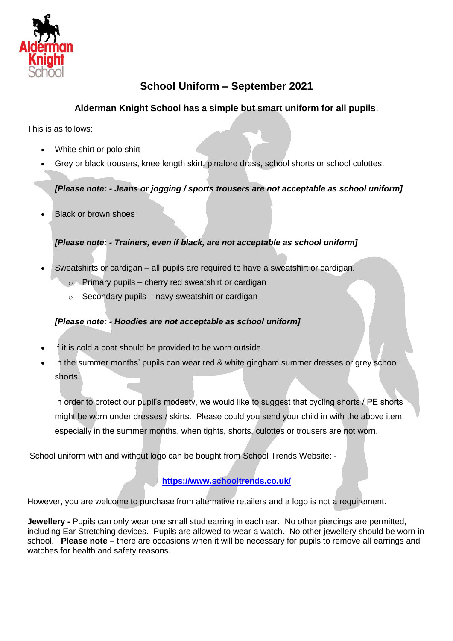

## **School Uniform – September 2021**

## **Alderman Knight School has a simple but smart uniform for all pupils**.

This is as follows:

- White shirt or polo shirt
- Grey or black trousers, knee length skirt, pinafore dress, school shorts or school culottes.

### *[Please note: - Jeans or jogging / sports trousers are not acceptable as school uniform]*

Black or brown shoes

### *[Please note: - Trainers, even if black, are not acceptable as school uniform]*

- Sweatshirts or cardigan all pupils are required to have a sweatshirt or cardigan.
	- $\circ$  Primary pupils cherry red sweatshirt or cardigan
	- $\circ$  Secondary pupils navy sweatshirt or cardigan

### *[Please note: - Hoodies are not acceptable as school uniform]*

- If it is cold a coat should be provided to be worn outside.
- In the summer months' pupils can wear red & white gingham summer dresses or grey school shorts.

In order to protect our pupil's modesty, we would like to suggest that cycling shorts / PE shorts might be worn under dresses / skirts. Please could you send your child in with the above item, especially in the summer months, when tights, shorts, culottes or trousers are not worn.

School uniform with and without logo can be bought from School Trends Website: -

## **<https://www.schooltrends.co.uk/>**

However, you are welcome to purchase from alternative retailers and a logo is not a requirement.

**Jewellery -** Pupils can only wear one small stud earring in each ear. No other piercings are permitted, including Ear Stretching devices. Pupils are allowed to wear a watch. No other jewellery should be worn in school. **Please note** – there are occasions when it will be necessary for pupils to remove all earrings and watches for health and safety reasons.